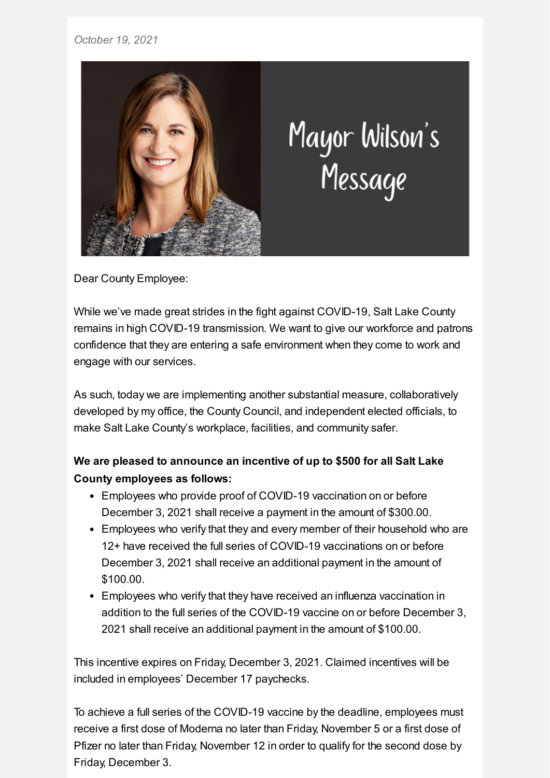## *October 19, 2021*



## Mayor Wilson's<br>Message

Dear County Employee:

While we've made great strides in the fight against COVID-19, Salt Lake County remains in high COVID-19 transmission. We want to give our workforce and patrons confidence that they are entering a safe environment when they come to work and engage with our services.

As such, today we are implementing another substantial measure, collaboratively developed by my office, the County Council, and independent elected officials, to make Salt Lake County's workplace, facilities, and community safer.

## **We are pleased to announce an incentive of up to \$500 for all Salt Lake County employees as follows:**

- Employees who provide proof of COVID-19 vaccination on or before December 3, 2021 shall receive a payment in the amount of \$300.00.
- Employees who verify that they and every member of their household who are 12+ have received the full series of COVID-19 vaccinations on or before December 3, 2021 shall receive an additional payment in the amount of \$100.00.
- Employees who verify that they have received an influenza vaccination in addition to the full series of the COVID-19 vaccine on or before December 3, 2021 shall receive an additional payment in the amount of \$100.00.

This incentive expires on Friday, December 3, 2021. Claimed incentives will be included in employees' December 17 paychecks.

To achieve a full series of the COVID-19 vaccine by the deadline, employees must receive a first dose of Moderna no later than Friday, November 5 or a first dose of Pfizer no later than Friday, November 12 in order to qualify for the second dose by Friday, December 3.